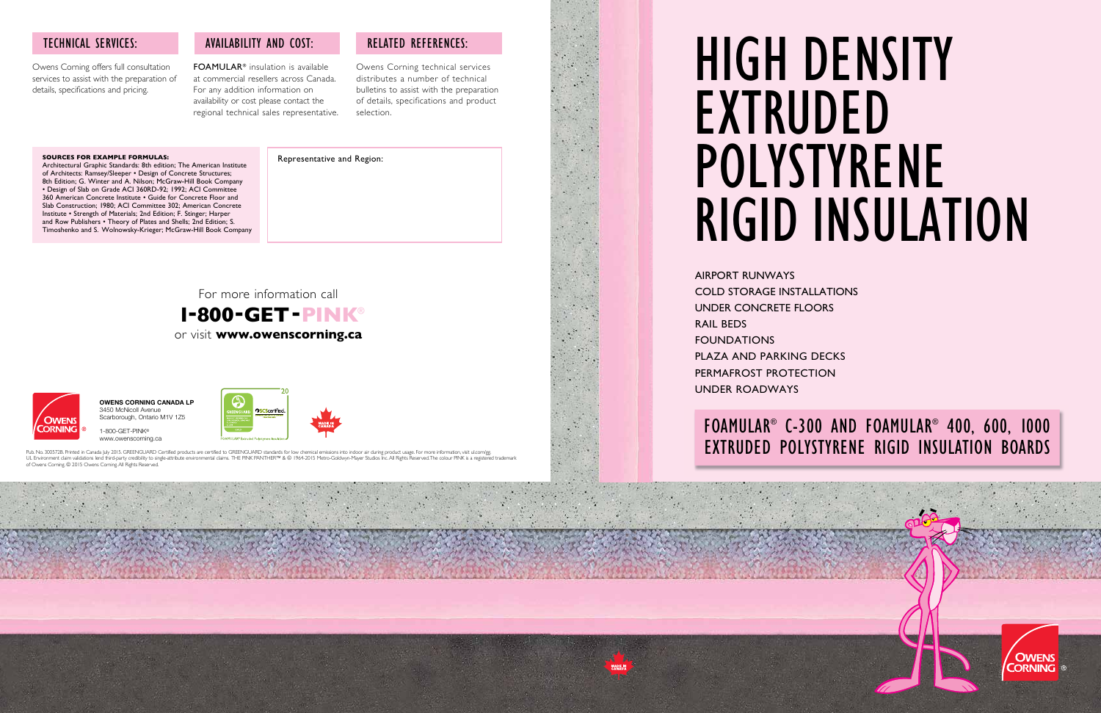

# HIGH DENSITY POLYSTYRENE RIGID INSULATION



### FOAMULAR® C-300 AND FOAMULAR® 400, 600, 1000 EXTRUDED POLYSTYRENE RIGID INSULATION BOARDS



AIRPORT RUNWAYS COLD STORAGE INSTALLATIONS UNDER CONCRETE FLOORS RAIL BEDS FOUNDATIONS PLAZA AND PARKING DECKS PERMAFROST PROTECTION UNDER ROADWAYS

#### **SOURCES FOR EXAMPLE FORMULAS:**

Architectural Graphic Standards: 8th edition; The American Institute of Architects: Ramsey/Sleeper • Design of Concrete Structures; 8th Edition; G. Winter and A. Nilson; McGraw-Hill Book Company • Design of Slab on Grade ACI 360RD-92; 1992; ACI Committee 360 American Concrete Institute • Guide for Concrete Floor and Slab Construction; 1980; ACI Committee 302; American Concrete Institute • Strength of Materials; 2nd Edition; F. Stinger; Harper and Row Publishers • Theory of Plates and Shells; 2nd Edition; S. Timoshenko and S. Wolnowsky-Krieger; McGraw-Hill Book Company

Owens Corning offers full consultation services to assist with the preparation of details, specifications and pricing.

#### TECHNICAL SERVICES:

1-800-GET-PINK® www.owenscorning.ca



Pub. No. 300572B. Printed in Canada July 2015. GREENGUARD Certified products are certified to GREENGUARD standards for low chemical emissions into indoor air during product usage. For more information, visit ul.com/gg.<br>UL of Owens Corning. © 2015 Owens Corning. All Rights Reserved

FOAMULAR® insulation is available at commercial resellers across Canada. For any addition information on availability or cost please contact the regional technical sales representative.

#### AVAILABILITY AND COST:

Owens Corning technical services distributes a number of technical bulletins to assist with the preparation of details, specifications and product selection.

#### RELATED REFERENCES:

For more information call  **1-800-GET-PINK**® or visit **www.owenscorning.ca**



#### Representative and Region:

**OWENS CORNING CANADA LP** 3450 McNicoll Avenue Scarborough, Ontario M1V 1Z5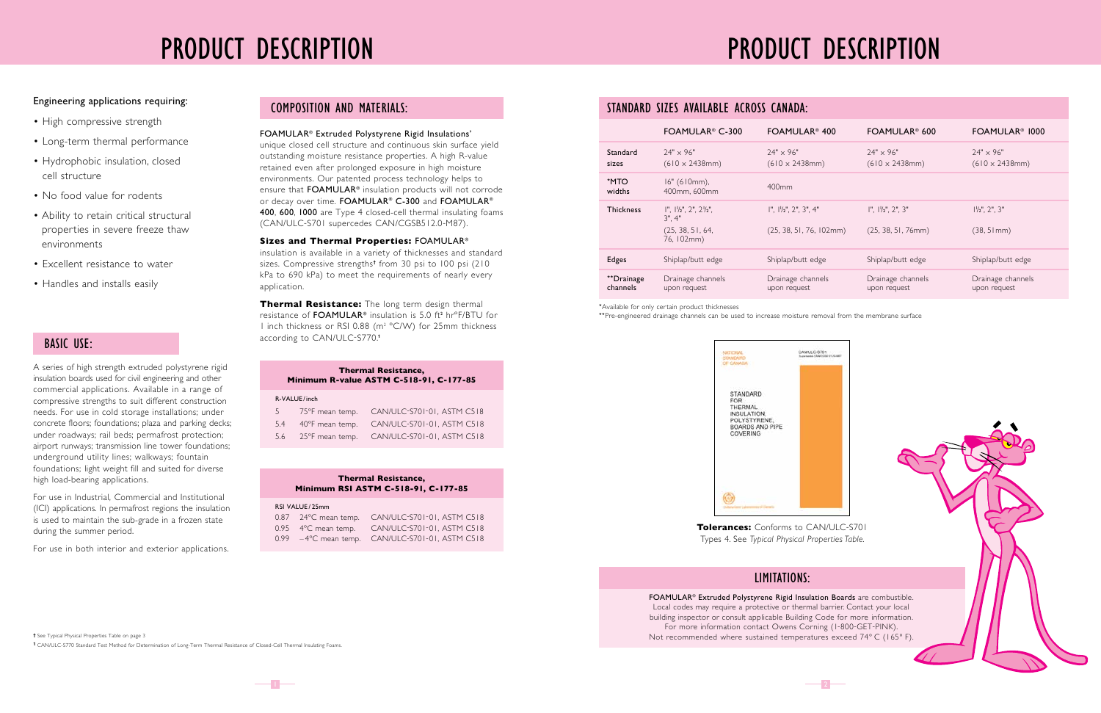## PRODUCT DESCRIPTION





**Tolerances:** Conforms to CAN/ULC-S701 Types 4. See *Typical Physical Properties Table.*

#### \*Available for only certain product thicknesses

\*\*Pre-engineered drainage channels can be used to increase moisture removal from the membrane surface

#### STANDARD SIZES AVAILABLE ACROSS CANADA:

|                        | FOAMULAR <sup>®</sup> C-300                                                                | FOAMULAR <sup>®</sup> 400                                                 | FOAMULAR <sup>®</sup> 600                          | FOAMULAR <sup>®</sup> 1000                 |
|------------------------|--------------------------------------------------------------------------------------------|---------------------------------------------------------------------------|----------------------------------------------------|--------------------------------------------|
| Standard<br>sizes      | $24" \times 96"$<br>$(610 \times 2438$ mm)                                                 | $24" \times 96"$<br>$(610 \times 2438$ mm)                                | $24" \times 96"$<br>$(610 \times 2438$ mm)         | $24" \times 96"$<br>$(610 \times 2438$ mm) |
| *MTO<br>widths         | $16" (610mm)$ ,<br>400mm, 600mm                                                            | $400$ mm                                                                  |                                                    |                                            |
| <b>Thickness</b>       | $1", 1\frac{1}{2", 2", 2\frac{1}{2", 1}}$<br>$3"$ . $4"$<br>(25, 38, 51, 64,<br>76, 102mm) | $\vert$ ", $\vert\vert\vert_{2}$ ", 2", 3", 4"<br>(25, 38, 51, 76, 102mm) | $1". 1\frac{1}{2}'. 2'. 3''$<br>(25, 38, 51, 76mm) | $1\frac{1}{2}$ , 2", 3"<br>$(38, 51)$ mm)  |
| <b>Edges</b>           | Shiplap/butt edge                                                                          | Shiplap/butt edge                                                         | Shiplap/butt edge                                  | Shiplap/butt edge                          |
| **Drainage<br>channels | Drainage channels<br>upon request                                                          | Drainage channels<br>upon request                                         | Drainage channels<br>upon request                  | Drainage channels<br>upon request          |

FOAMULAR® Extruded Polystyrene Rigid Insulation Boards are combustible. Local codes may require a protective or thermal barrier. Contact your local building inspector or consult applicable Building Code for more information. For more information contact Owens Corning (1-800-GET-PINK). Not recommended where sustained temperatures exceed 74° C (165° F).

#### LIMITATIONS:

## PRODUCT DESCRIPTION

**†** See Typical Physical Properties Table on page 3 **1** CAN/ULC-S770 Standard Test Method for Determination of Long-Term Thermal Resistance of Closed-Cell Thermal Insulating Foams.

#### RSI VALUE / 25mm

 $-1-$ 

|  | 0.87 24°C mean temp. CAN/ULC-S701-01, ASTM C518  |
|--|--------------------------------------------------|
|  | 0.95 4°C mean temp. CAN/ULC-S701-01, ASTM C518   |
|  | 0.99 - 4°C mean temp. CAN/ULC-S701-01, ASTM C518 |

| <b>Thermal Resistance,</b> |  |  |  |                                     |  |
|----------------------------|--|--|--|-------------------------------------|--|
|                            |  |  |  | Minimum RSI ASTM C-518-91, C-177-85 |  |

#### FOAMULAR® Extruded Polystyrene Rigid Insulations'

unique closed cell structure and continuous skin surface yield outstanding moisture resistance properties. A high R-value retained even after prolonged exposure in high moisture environments. Our patented process technology helps to ensure that FOAMULAR® insulation products will not corrode or decay over time. FOAMULAR® C-300 and FOAMULAR® 400, 600, 1000 are Type 4 closed-cell thermal insulating foams (CAN/ULC-S701 supercedes CAN/CGSB512.0-M87).

#### **Sizes and Thermal Properties:** FOAMULAR®

insulation is available in a variety of thicknesses and standard sizes. Compressive strengths**†** from 30 psi to 100 psi (210 kPa to 690 kPa) to meet the requirements of nearly every application.

**Thermal Resistance:** The long term design thermal resistance of FOAMULAR® insulation is 5.0 ft<sup>2</sup> hrºF/BTU for I inch thickness or RSI 0.88 (m<sup>2</sup> °C/W) for 25mm thickness according to CAN/ULC-S770.**<sup>1</sup>**

#### Engineering applications requiring:

- High compressive strength
- Long-term thermal performance
- Hydrophobic insulation, closed cell structure
- No food value for rodents
- Ability to retain critical structural properties in severe freeze thaw environments
- Excellent resistance to water
- Handles and installs easily

#### BASIC USE:

#### COMPOSITION AND MATERIALS:

A series of high strength extruded polystyrene rigid insulation boards used for civil engineering and other commercial applications. Available in a range of compressive strengths to suit different construction needs. For use in cold storage installations; under concrete floors; foundations; plaza and parking decks; under roadways; rail beds; permafrost protection; airport runways; transmission line tower foundations; underground utility lines; walkways; fountain foundations; light weight fill and suited for diverse high load-bearing applications.

For use in Industrial, Commercial and Institutional (ICI) applications. In permafrost regions the insulation is used to maintain the sub-grade in a frozen state during the summer period.

For use in both interior and exterior applications.

|       |                 | <b>Thermal Resistance,</b><br>Minimum R-value ASTM C-518-91, C-177-85 |
|-------|-----------------|-----------------------------------------------------------------------|
|       | R-VALUE/inch    |                                                                       |
| $5 -$ | 75°F mean temp. | CAN/ULC-S701-01, ASTM C518                                            |
| 5.4   | 40°F mean temp. | CAN/ULC-S701-01, ASTM C518                                            |
| 5.6   | 25°F mean temp. | CAN/ULC-S701-01, ASTM C518                                            |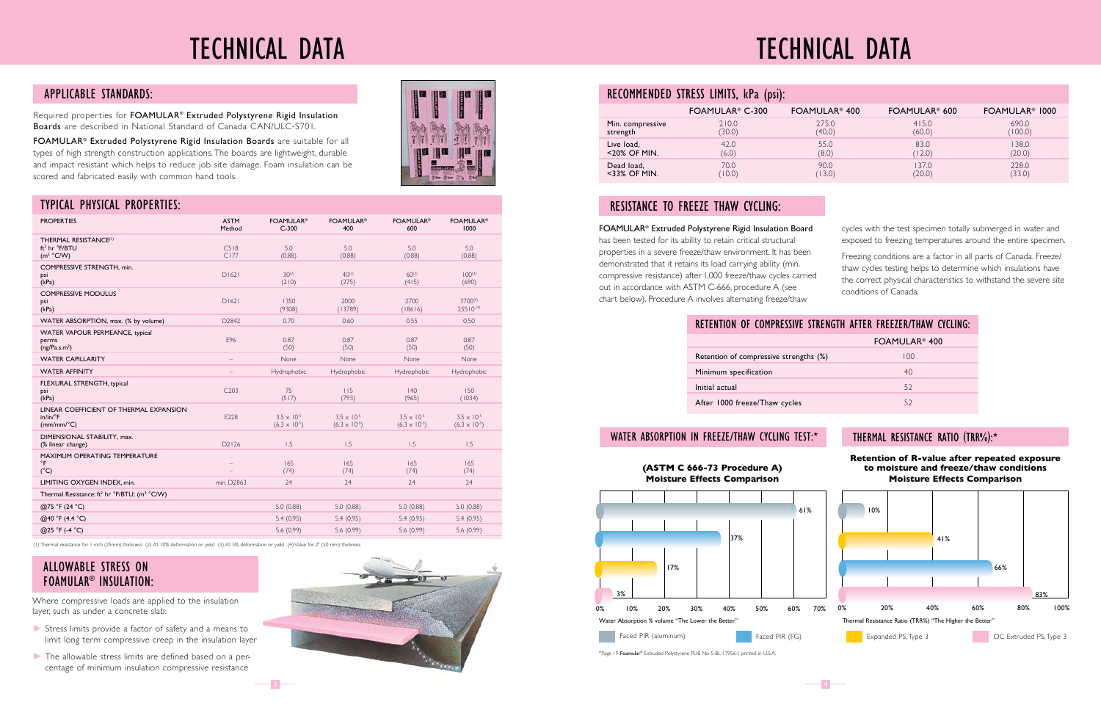## TECHNICAL DATA

| $\overline{\mathbf{I}}$ |  |  |
|-------------------------|--|--|
|                         |  |  |
|                         |  |  |
|                         |  |  |
|                         |  |  |

#### FOAMULAR® Extruded Polystyrene Rigid Insulation Board

has been tested for its ability to retain critical structural properties in a severe freeze/thaw environment. It has been demonstrated that it retains its load carrying ability (min. compressive resistance) after 1,000 freeze/thaw cycles carried out in accordance with ASTM C-666, procedure A (see chart below). Procedure A involves alternating freeze/thaw

cycles with the test specimen totally submerged in water and exposed to freezing temperatures around the entire specimen.

Freezing conditions are a factor in all parts of Canada. Freeze/ thaw cycles testing helps to determine which insulations have the correct physical characteristics to withstand the severe site conditions of Canada.

#### THERMAL RESISTANCE RATIO (TRR%):\*

#### RESISTANCE TO FREEZE THAW CYCLING:

### RECOMMENDED STRESS LIMITS, kPa (psi):

|                  | FOAMULAR <sup>®</sup> C-300 | FOAMULAR <sup>®</sup> 400 | FOAMULAR <sup>®</sup> 600 | FOAMULAR <sup>®</sup> 1000 |
|------------------|-----------------------------|---------------------------|---------------------------|----------------------------|
| Min. compressive | 210.0                       | 275.0                     | 415.0                     | 690.0                      |
| strength         | (30.0)                      | (40.0)                    | (60.0)                    | (100.0)                    |
| Live load,       | 42.0                        | 55.0                      | 83.0                      | 138.0                      |
| $<$ 20% OF MIN.  | (6.0)                       | (8.0)                     | (12.0)                    | (20.0)                     |
| Dead load,       | 70.0                        | 90.0                      | 137.0                     | 228.0                      |
| $<$ 33% OF MIN.  | (10.0)                      | (13.0)                    | (20.0)                    | (33.0)                     |

Required properties for FOAMULAR® Extruded Polystyrene Rigid Insulation Boards are described in National Standard of Canada CAN/ULC-S701.

FOAMULAR® Extruded Polystyrene Rigid Insulation Boards are suitable for all types of high strength construction applications. The boards are lightweight, durable and impact resistant which helps to reduce job site damage. Foam insulation can be scored and fabricated easily with common hand tools.

#### APPLICABLE STANDARDS:

(1) Thermal resistance for 1 inch (25mm) thickness (2) At 10% deformation or yield (3) At 5% deformation or yield (4) Value for 2" (50 mm) thickness

#### TYPICAL PHYSICAL PROPERTIES:

| <b>PROPERTIES</b>                                                                          | <b>ASTM</b><br>Method    | <b>FOAMULAR®</b><br>$C-300$                    | <b>FOAMULAR®</b><br>400                        | <b>FOAMULAR®</b><br>600                        | <b>FOAMULAR®</b><br>1000                       |
|--------------------------------------------------------------------------------------------|--------------------------|------------------------------------------------|------------------------------------------------|------------------------------------------------|------------------------------------------------|
| THERMAL RESISTANCE(1)<br>ft <sup>2</sup> hr °F/BTU<br>$(m^2 °C/W)$                         | C518<br>CI77             | 5.0<br>(0.88)                                  | 5.0<br>(0.88)                                  | 5.0<br>(0.88)                                  | 5.0<br>(0.88)                                  |
| COMPRESSIVE STRENGTH, min.<br>psi<br>(kPa)                                                 | DI621                    | $30^{(2)}$<br>(210)                            | $40^{(3)}$<br>(275)                            | $60^{(3)}$<br>(415)                            | $100^{(3)}$<br>(690)                           |
| <b>COMPRESSIVE MODULUS</b><br>psi<br>(kPa)                                                 | DI621                    | 1350<br>(9308)                                 | 2000<br>(13789)                                | 2700<br>(18616)                                | 3700(4)<br>25510(4)                            |
| WATER ABSORPTION, max. (% by volume)                                                       | D2842                    | 0.70                                           | 0.60                                           | 0.55                                           | 0.50                                           |
| WATER VAPOUR PERMEANCE, typical<br>perms<br>(ng/Pa.s.m <sup>2</sup> )                      | E96                      | 0.87<br>(50)                                   | 0.87<br>(50)                                   | 0.87<br>(50)                                   | 0.87<br>(50)                                   |
| <b>WATER CAPILLARITY</b>                                                                   | $\qquad \qquad -$        | None                                           | None                                           | None                                           | None                                           |
| <b>WATER AFFINITY</b>                                                                      |                          | Hydrophobic                                    | Hydrophobic                                    | Hydrophobic                                    | Hydrophobic                                    |
| FLEXURAL STRENGTH, typical<br>psi<br>(kPa)                                                 | C203                     | 75<br>(517)                                    | 115<br>(793)                                   | 40<br>(965)                                    | 150<br>(1034)                                  |
| LINEAR COEFFICIENT OF THERMAL EXPANSION<br>$in/in/{}^{\circ}F$<br>$(mm/mm$ <sup>o</sup> C) | E228                     | $3.5 \times 10^{-5}$<br>$(6.3 \times 10^{-5})$ | $3.5 \times 10^{-5}$<br>$(6.3 \times 10^{-5})$ | $3.5 \times 10^{-5}$<br>$(6.3 \times 10^{-5})$ | $3.5 \times 10^{-5}$<br>$(6.3 \times 10^{-5})$ |
| DIMENSIONAL STABILITY, max.<br>(% linear change)                                           | D2126                    | 1.5                                            | 1.5                                            | 1.5                                            | 1.5                                            |
| <b>MAXIMUM OPERATING TEMPERATURE</b><br>$\circ$ F<br>$(^{\circ}C)$                         | $\overline{\phantom{0}}$ | 165<br>(74)                                    | 165<br>(74)                                    | 165<br>(74)                                    | 165<br>(74)                                    |
| LIMITING OXYGEN INDEX, min.                                                                | min. D2863               | 24                                             | 24                                             | 24                                             | 24                                             |
| Thermal Resistance: ft <sup>2</sup> hr °F/BTU; (m <sup>2</sup> °C/W)                       |                          |                                                |                                                |                                                |                                                |
| @75 °F (24 °C)                                                                             |                          | 5.0(0.88)                                      | 5.0(0.88)                                      | 5.0(0.88)                                      | 5.0(0.88)                                      |
| @40 °F (4.4 °C)                                                                            |                          | 5.4(0.95)                                      | 5.4(0.95)                                      | 5.4(0.95)                                      | 5.4(0.95)                                      |
| @25 °F (-4 °C)                                                                             |                          | 5.6(0.99)                                      | 5.6(0.99)                                      | 5.6(0.99)                                      | 5.6(0.99)                                      |
|                                                                                            |                          |                                                |                                                |                                                |                                                |

 $\overline{\phantom{0}}$  3

## TECHNICAL DATA

Where compressive loads are applied to the insulation layer, such as under a concrete slab:

- V Stress limits provide a factor of safety and a means to limit long term compressive creep in the insulation layer
- $\blacktriangleright$  The allowable stress limits are defined based on a percentage of minimum insulation compressive resistance



#### ALLOWABLE STRESS ON FOAMULAR® INSULATION:

| RETENTION OF COMPRESSIVE STRENGTH AFTER FREEZER/THAW CYCLING: |                           |
|---------------------------------------------------------------|---------------------------|
|                                                               | FOAMULAR <sup>®</sup> 400 |
| Retention of compressive strengths (%)                        | 100                       |
| Minimum specification                                         | 40                        |
| Initial actual                                                | 52                        |
| After 1000 freeze/Thaw cycles                                 | 52                        |

#### WATER ABSORPTION IN FREEZE/THAW CYCLING TEST:\*





\*Page 19 Foamular® Extruded Polystyrene PUB No-5-BL-17956-I, printed in U.S.A.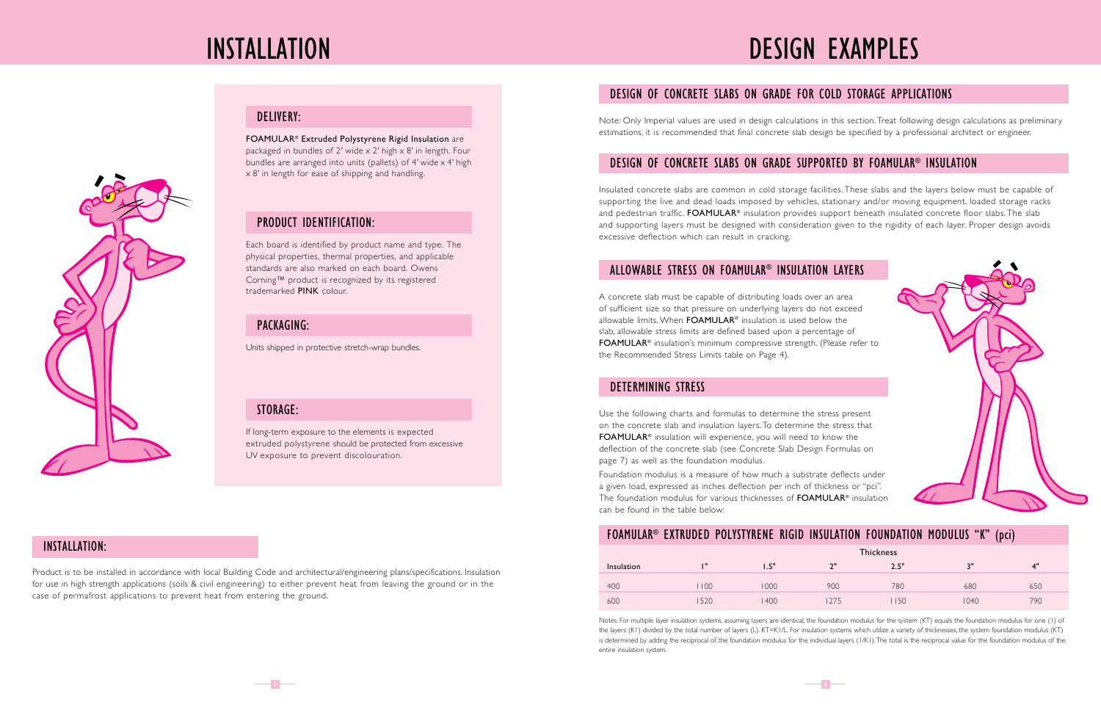



Product is to be installed in accordance with local Building Code and architectural/engineering plans/specifications. Insulation for use in high strength applications (soils & civil engineering) to either prevent heat from leaving the ground or in the case of permafrost applications to prevent heat from entering the ground.

#### INSTALLATION:

If long-term exposure to the elements is expected extruded polystyrene should be protected from excessive UV exposure to prevent discolouration.

#### STORAGE:

Units shipped in protective stretch-wrap bundles.

#### PACKAGING:

Each board is identified by product name and type. The physical properties, thermal properties, and applicable standards are also marked on each board. Owens Corning™ product is recognized by its registered trademarked PINK colour.

#### PRODUCT IDENTIFICATION:

FOAMULAR® Extruded Polystyrene Rigid Insulation are packaged in bundles of 2' wide  $\times$  2' high  $\times$  8' in length. Four bundles are arranged into units (pallets) of 4' wide x 4' high x 8' in length for ease of shipping and handling.

#### DELIVERY:

Use the following charts and formulas to determine the stress present on the concrete slab and insulation layers. To determine the stress that FOAMULAR® insulation will experience, you will need to know the deflection of the concrete slab (see Concrete Slab Design Formulas on page 7) as well as the foundation modulus.

Foundation modulus is a measure of how much a substrate deflects under a given load, expressed as inches deflection per inch of thickness or "pci". The foundation modulus for various thicknesses of FOAMULAR® insulation can be found in the table below:

#### DETERMINING STRESS

Note: Only Imperial values are used in design calculations in this section. Treat following design calculations as preliminary estimations, it is recommended that final concrete slab design be specified by a professional architect or engineer.

### DESIGN OF CONCRETE SLABS ON GRADE FOR COLD STORAGE APPLICATIONS

Insulated concrete slabs are common in cold storage facilities. These slabs and the layers below must be capable of supporting the live and dead loads imposed by vehicles, stationary and/or moving equipment, loaded storage racks and pedestrian traffic. **FOAMULAR®** insulation provides support beneath insulated concrete floor slabs. The slab and supporting layers must be designed with consideration given to the rigidity of each layer. Proper design avoids excessive deflection which can result in cracking.

#### DESIGN OF CONCRETE SLABS ON GRADE SUPPORTED BY FOAMULAR® INSULATION

A concrete slab must be capable of distributing loads over an area of sufficient size so that pressure on underlying layers do not exceed allowable limits. When FOAMULAR® insulation is used below the slab, allowable stress limits are defined based upon a percentage of FOAMULAR® insulation's minimum compressive strength. (Please refer to the Recommended Stress Limits table on Page 4).

Notes: For multiple layer insulation systems, assuming layers are identical, the foundation modulus for the system (KT) equals the foundation modulus for one (1) of the layers (K1) divided by the total number of layers (L). KT=K1/L. For insulation systems which utilize a variety of thicknesses, the system foundation modulus (KT) is determined by adding the reciprocal of the foundation modulus for the individual layers (I/K1). The total is the reciprocal value for the foundation modulus of the entire insulation system.



#### ALLOWABLE STRESS ON FOAMULAR® INSULATION LAYERS

### FOAMULAR® EXTRUDED POLYSTYRENE RIGID INSULATION FOUNDATION MODULUS "K" (pci)

|            |      | <b>Thickness</b> |     |      |           |     |
|------------|------|------------------|-----|------|-----------|-----|
| Insulation | т    | 1.5"             | ייר | 2.5" | יי ג<br>u | 4"  |
| 400        | 100  | 000              | 900 | 780  | 680       | 650 |
| 600        | 1520 | 400              | 275 | 150  | 1040      | 790 |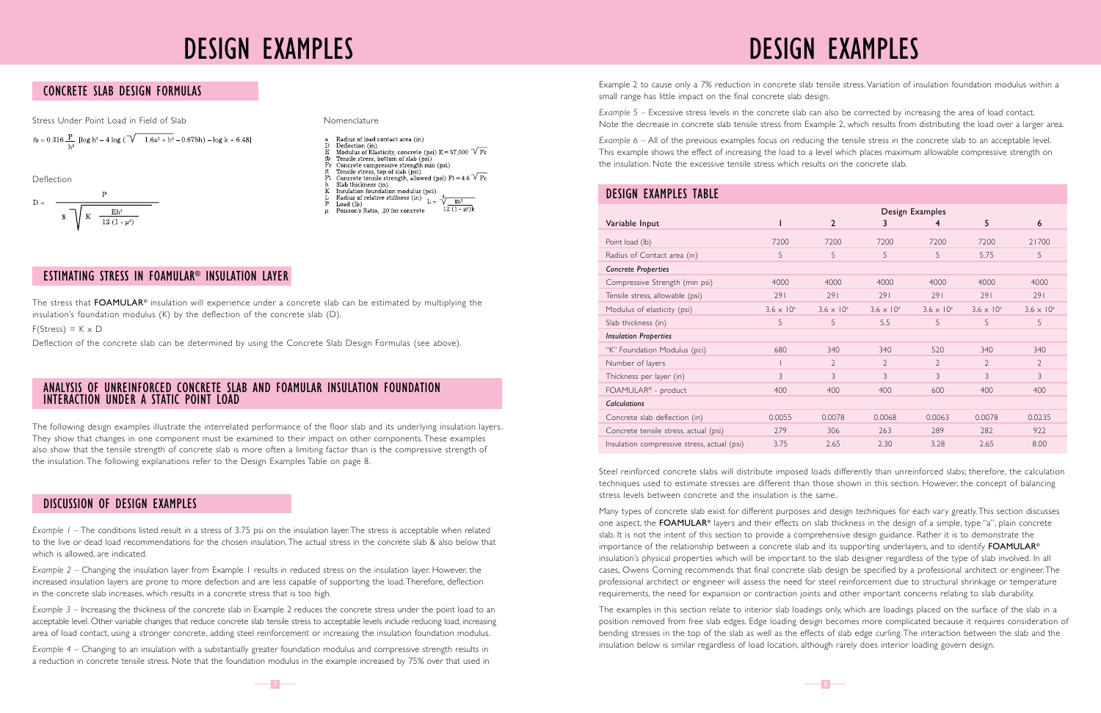### DESIGN EXAMPLES DESIGN EXAMPLES

Steel reinforced concrete slabs will distribute imposed loads differently than unreinforced slabs; therefore, the calculation techniques used to estimate stresses are different than those shown in this section. However, the concept of balancing stress levels between concrete and the insulation is the same.

Many types of concrete slab exist for different purposes and design techniques for each vary greatly. This section discusses one aspect, the FOAMULAR® layers and their effects on slab thickness in the design of a simple, type "a", plain concrete slab. It is not the intent of this section to provide a comprehensive design guidance. Rather it is to demonstrate the importance of the relationship between a concrete slab and its supporting underlayers, and to identify **FOAMULAR<sup>®</sup>** insulation's physical properties which will be important to the slab designer regardless of the type of slab involved. In all cases, Owens Corning recommends that final concrete slab design be specified by a professional architect or engineer. The professional architect or engineer will assess the need for steel reinforcement due to structural shrinkage or temperature requirements, the need for expansion or contraction joints and other important concerns relating to slab durability.

The examples in this section relate to interior slab loadings only, which are loadings placed on the surface of the slab in a position removed from free slab edges. Edge loading design becomes more complicated because it requires consideration of bending stresses in the top of the slab as well as the effects of slab edge curling. The interaction between the slab and the insulation below is similar regardless of load location, although rarely does interior loading govern design.

*Example 1* – The conditions listed result in a stress of 3.75 psi on the insulation layer. The stress is acceptable when related to the live or dead load recommendations for the chosen insulation. The actual stress in the concrete slab & also below that which is allowed, are indicated.

*Example 2* – Changing the insulation layer from Example 1 results in reduced stress on the insulation layer. However, the increased insulation layers are prone to more defection and are less capable of supporting the load. Therefore, deflection in the concrete slab increases, which results in a concrete stress that is too high.

The stress that FOAMULAR<sup>®</sup> insulation will experience under a concrete slab can be estimated by multiplying the insulation's foundation modulus (K) by the deflection of the concrete slab (D).

 $F(Stress) = K \times D$ 

*Example 3* – Increasing the thickness of the concrete slab in Example 2 reduces the concrete stress under the point load to an acceptable level. Other variable changes that reduce concrete slab tensile stress to acceptable levels include reducing load, increasing area of load contact, using a stronger concrete, adding steel reinforcement or increasing the insulation foundation modulus.

*Example 4* – Changing to an insulation with a substantially greater foundation modulus and compressive strength results in a reduction in concrete tensile stress. Note that the foundation modulus in the example increased by 75% over that used in

#### DISCUSSION OF DESIGN EXAMPLES

### DESIGN EXAMPLES TABLE

| <b>DESIGN EXAMPLES TABLE</b>                |                     |                     |                     |                     |                     |                     |
|---------------------------------------------|---------------------|---------------------|---------------------|---------------------|---------------------|---------------------|
|                                             |                     |                     |                     | Design Examples     |                     |                     |
| Variable Input                              |                     | $\mathbf{2}$        | 3                   | 4                   | 5                   | 6                   |
| Point load (lb)                             | 7200                | 7200                | 7200                | 7200                | 7200                | 21700               |
| Radius of Contact area (in)                 | 5                   | 5                   | 5                   | 5                   | 5.75                | 5                   |
| Concrete Properties                         |                     |                     |                     |                     |                     |                     |
| Compressive Strength (min psi)              | 4000                | 4000                | 4000                | 4000                | 4000                | 4000                |
| Tensile stress, allowable (psi)             | 291                 | 291                 | 291                 | 291                 | 291                 | 291                 |
| Modulus of elasticity (psi)                 | $3.6 \times 10^{6}$ | $3.6 \times 10^{6}$ | $3.6 \times 10^{6}$ | $3.6 \times 10^{6}$ | $3.6 \times 10^{6}$ | $3.6 \times 10^{6}$ |
| Slab thickness (in)                         | 5                   | 5                   | 5.5                 | 5                   | 5                   | 5                   |
| <b>Insulation Properties</b>                |                     |                     |                     |                     |                     |                     |
| "K" Foundation Modulus (pci)                | 680                 | 340                 | 340                 | 520                 | 340                 | 340                 |
| Number of layers                            |                     | $\overline{2}$      | $\overline{2}$      | $\overline{2}$      | $\overline{2}$      | $\overline{2}$      |
| Thickness per layer (in)                    | 3                   | 3                   | 3                   | 3                   | 3                   | 3                   |
| FOAMULAR <sup>®</sup> - product             | 400                 | 400                 | 400                 | 600                 | 400                 | 400                 |
| <b>Calculations</b>                         |                     |                     |                     |                     |                     |                     |
| Concrete slab deflection (in)               | 0.0055              | 0.0078              | 0.0068              | 0.0063              | 0.0078              | 0.0235              |
| Concrete tensile stress, actual (psi)       | 279                 | 306                 | 263                 | 289                 | 282                 | 922                 |
| Insulation compressive stress, actual (psi) | 3.75                | 2.65                | 2.30                | 3.28                | 2.65                | 8.00                |

Example 2 to cause only a 7% reduction in concrete slab tensile stress. Variation of insulation foundation modulus within a small range has little impact on the final concrete slab design.

*Example 5* – Excessive stress levels in the concrete slab can also be corrected by increasing the area of load contact. Note the decrease in concrete slab tensile stress from Example 2, which results from distributing the load over a larger area.

*Example 6* – All of the previous examples focus on reducing the tensile stress in the concrete slab to an acceptable level. This example shows the effect of increasing the load to a level which places maximum allowable compressive strength on the insulation. Note the excessive tensile stress which results on the concrete slab.

#### CONCRETE SLAB DESIGN FORMULAS

Stress Under Point Load in Field of Slab Nomenclature Nomenclature

$$
fb = 0.316 \frac{P}{h^2} [\log h^3 - 4 \log (\sqrt{1.6a^2 + h^2} - 0.675h) - \log k + 6.48]
$$

Deflection of the concrete slab can be determined by using the Concrete Slab Design Formulas (see above).

#### ESTIMATING STRESS IN FOAMULAR® INSULATION LAYER

Deflection

D = 
$$
\frac{P}{8\sqrt{K - \frac{Eh^3}{12(1 - \mu^2)}}
$$

- Radius of load contact area (in)
- Deflection (in) Modulus of Elasticity, concrete (psi)  $E \approx 57,000 \text{ V}$  Fc
- 
- For Tensile stress, bottom of slab (psi)<br>
For Concrete compressive strength min (psi)<br>
ft Tensile stress, top of slab (psi)
- 
- Concrete tensile strength, allowed (psi) Ft  $\approx 4.6 \sqrt{\text{Fc}}$
- Slab thickness (in)<br>Insulation foundation modulus (pci)
- Insulation foundation modulus (pci)<br>Radius of relative stiffness (in)<br> $L = \frac{4}{\sqrt{\frac{Eh^3}{c^{1.5}}}}$
- Load (lb) Poisson's Ratio. .20 for concrete
- 

The following design examples illustrate the interrelated performance of the floor slab and its underlying insulation layers. They show that changes in one component must be examined to their impact on other components. These examples also show that the tensile strength of concrete slab is more often a limiting factor than is the compressive strength of the insulation. The following explanations refer to the Design Examples Table on page 8.

#### ANALYSIS OF UNREINFORCED CONCRETE SLAB AND FOAMULAR INSULATION FOUNDATION INTERACTION UNDER A STATIC POINT LOAD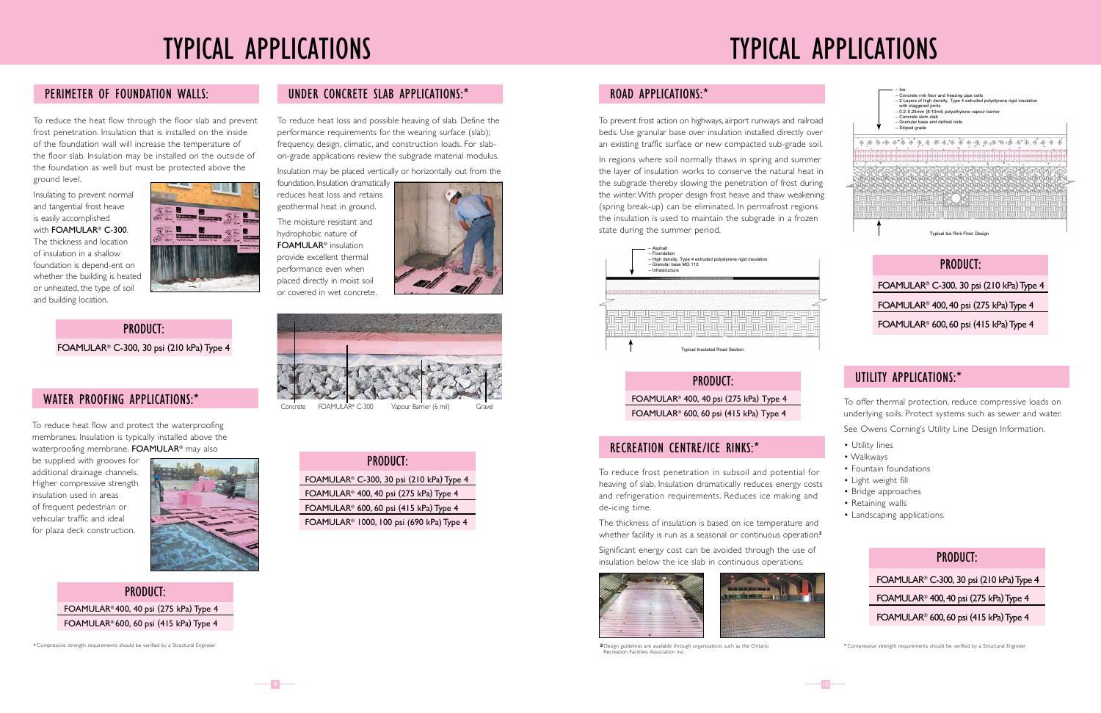## TYPICAL APPLICATIONS

### PERIMETER OF FOUNDATION WALLS:

## TYPICAL APPLICATIONS

\*Compressive strength requirements should be verified by a Structural Engineer

To reduce the heat flow through the floor slab and prevent frost penetration. Insulation that is installed on the inside of the foundation wall will increase the temperature of the floor slab. Insulation may be installed on the outside of the foundation as well but must be protected above the ground level.

To reduce heat flow and protect the waterproofing membranes. Insulation is typically installed above the waterproofing membrane. FOAMULAR<sup>®</sup> may also

Insulating to prevent normal and tangential frost heave is easily accomplished with **FOAMULAR<sup>®</sup> C-300**. The thickness and location of insulation in a shallow foundation is depend-ent on whether the building is heated or unheated, the type of soil and building location.



### PRODUCT:

FOAMULAR® C-300, 30 psi (210 kPa) Type 4

#### WATER PROOFING APPLICATIONS:\*

be supplied with grooves for additional drainage channels. Higher compressive strength insulation used in areas of frequent pedestrian or vehicular traffic and ideal for plaza deck construction.



#### PRODUCT: FOAMULAR® 400, 40 psi (275 kPa) Type 4 FOAMULAR® 600, 60 psi (415 kPa) Type 4

#### ROAD APPLICATIONS:\*

To reduce heat loss and possible heaving of slab. Define the performance requirements for the wearing surface (slab); frequency, design, climatic, and construction loads. For slabon-grade applications review the subgrade material modulus.

Insulation may be placed vertically or horizontally out from the

foundation. Insulation dramatically reduces heat loss and retains geothermal heat in ground.

The moisture resistant and hydrophobic nature of FOAMULAR® insulation provide excellent thermal performance even when placed directly in moist soil or covered in wet concrete.





FOAMULAR® C-300 Vapour Barrier (6 mil) Grave

#### UNDER CONCRETE SLAB APPLICATIONS:\*

#### PRODUCT:

 FOAMULAR® C-300, 30 psi (210 kPa) Type 4 FOAMULAR® 400, 40 psi (275 kPa) Type 4 FOAMULAR® 600, 60 psi (415 kPa) Type 4 FOAMULAR® 1000, 100 psi (690 kPa) Type 4

To prevent frost action on highways, airport runways and railroad beds. Use granular base over insulation installed directly over an existing traffic surface or new compacted sub-grade soil.

In regions where soil normally thaws in spring and summer the layer of insulation works to conserve the natural heat in the subgrade thereby slowing the penetration of frost during the winter. With proper design frost heave and thaw weakening (spring break-up) can be eliminated. In permafrost regions the insulation is used to maintain the subgrade in a frozen state during the summer period.

> PRODUCT: FOAMULAR® 400, 40 psi (275 kPa) Type 4 FOAMULAR® 600, 60 psi (415 kPa) Type 4

> > **<sup>2</sup>** \*Compressive strength requirements should be verified by a Structural Engineer



 $\overline{\phantom{0}}$ 10 $\overline{\phantom{0}}$ 

To reduce frost penetration in subsoil and potential for heaving of slab. Insulation dramatically reduces energy costs and refrigeration requirements. Reduces ice making and de-icing time.

The thickness of insulation is based on ice temperature and whether facility is run as a seasonal or continuous operation.**<sup>2</sup>**

Significant energy cost can be avoided through the use of insulation below the ice slab in continuous operations.



2 Design guidelines are available through organizations such as the Ontario **Recreation Facilities Association Inc.** 

#### RECREATION CENTRE/ICE RINKS:\*

### UTILITY APPLICATIONS:\*

### PRODUCT: FOAMULAR® C-300, 30 psi (210 kPa) Type 4 FOAMULAR® 400, 40 psi (275 kPa) Type 4 FOAMULAR® 600, 60 psi (415 kPa) Type 4

#### PRODUCT:

 FOAMULAR® C-300, 30 psi (210 kPa) Type 4 FOAMULAR® 400, 40 psi (275 kPa) Type 4 FOAMULAR® 600, 60 psi (415 kPa) Type 4

To offer thermal protection, reduce compressive loads on underlying soils. Protect systems such as sewer and water.

See Owens Corning's Utility Line Design Information.

- Utility lines
- Walkways
- Fountain foundations
- Light weight fill
- Bridge approaches
- Retaining walls
- Landscaping applications.

Typical Ice Rink Floor Design







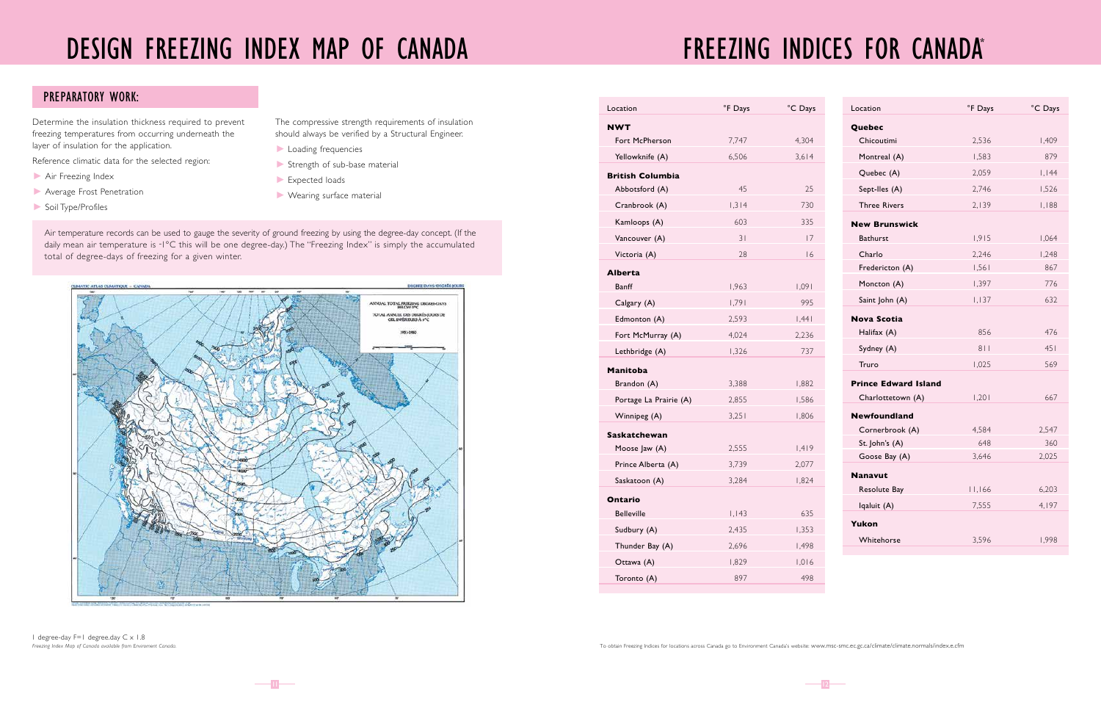Determine the insulation thickness required to prevent freezing temperatures from occurring underneath the layer of insulation for the application.

- Air Freezing Index
- **Average Frost Penetration**
- V Soil Type/Profiles

Reference climatic data for the selected region:

The compressive strength requirements of insulation should always be verified by a Structural Engineer.

- **Loading frequencies**
- $\blacktriangleright$  Strength of sub-base material
- $\blacktriangleright$  Expected loads
- $\blacktriangleright$  Wearing surface material

1 degree-day F=1 degree.day C x 1.8 *Freezing Index Map of Canada available from Enviroment Canada.*

| Location                     | °F Days | °C Days | Location                    | °F Days | °C Days |
|------------------------------|---------|---------|-----------------------------|---------|---------|
| <b>NWT</b>                   |         |         | Quebec                      |         |         |
| Fort McPherson               | 7,747   | 4,304   | Chicoutimi                  | 2,536   | 1,409   |
| Yellowknife (A)              | 6,506   | 3,614   | Montreal (A)                | 1,583   | 879     |
| <b>British Columbia</b>      |         |         | Quebec (A)                  | 2,059   | 1,144   |
| Abbotsford (A)               | 45      | 25      | Sept-Iles (A)               | 2,746   | 1,526   |
| Cranbrook (A)                | 1,314   | 730     | <b>Three Rivers</b>         | 2,139   | 1,188   |
| Kamloops (A)                 | 603     | 335     | <b>New Brunswick</b>        |         |         |
| Vancouver (A)                | 31      | 17      | Bathurst                    | 1,915   | 1,064   |
| Victoria (A)                 | 28      | 16      | Charlo                      | 2,246   | 1,248   |
| <b>Alberta</b>               |         |         | Fredericton (A)             | 1,561   | 867     |
| <b>Banff</b>                 | 1,963   | 1,091   | Moncton (A)                 | 1,397   | 776     |
| Calgary (A)                  | 1,791   | 995     | Saint John (A)              | 1,137   | 632     |
| Edmonton (A)                 | 2,593   | 1,441   | <b>Nova Scotia</b>          |         |         |
| Fort McMurray (A)            | 4,024   | 2,236   | Halifax (A)                 | 856     | 476     |
| Lethbridge (A)               | 1,326   | 737     | Sydney (A)                  | 811     | 451     |
| <b>Manitoba</b>              |         |         | Truro                       | 1,025   | 569     |
| Brandon (A)                  | 3,388   | 1,882   | <b>Prince Edward Island</b> |         |         |
| Portage La Prairie (A)       | 2,855   | 1,586   | Charlottetown (A)           | 1,201   | 667     |
| Winnipeg (A)                 | 3,251   | 1,806   | <b>Newfoundland</b>         |         |         |
| <b>Saskatchewan</b>          |         |         | Cornerbrook (A)             | 4,584   | 2,547   |
| Moose Jaw (A)                | 2,555   | 1,419   | St. John's (A)              | 648     | 360     |
| Prince Alberta (A)           | 3,739   | 2,077   | Goose Bay (A)               | 3,646   | 2,025   |
| Saskatoon (A)                | 3,284   | 1,824   | <b>Nanavut</b>              |         |         |
|                              |         |         | Resolute Bay                | 11,166  | 6,203   |
| Ontario<br><b>Belleville</b> | 1,143   | 635     | Iqaluit (A)                 | 7,555   | 4,197   |
| Sudbury (A)                  | 2,435   | 1,353   | Yukon                       |         |         |
| Thunder Bay (A)              | 2,696   | 1,498   | Whitehorse                  | 3,596   | 1,998   |
| Ottawa (A)                   | 1,829   | 1,016   |                             |         |         |
| Toronto (A)                  | 897     | 498     |                             |         |         |

## FREEZING INDICES FOR CANADA®

Air temperature records can be used to gauge the severity of ground freezing by using the degree-day concept. (If the daily mean air temperature is -1°C this will be one degree-day.) The "Freezing Index" is simply the accumulated total of degree-days of freezing for a given winter.



 $-11-$ 

#### PREPARATORY WORK:

 $\frac{1}{2}$